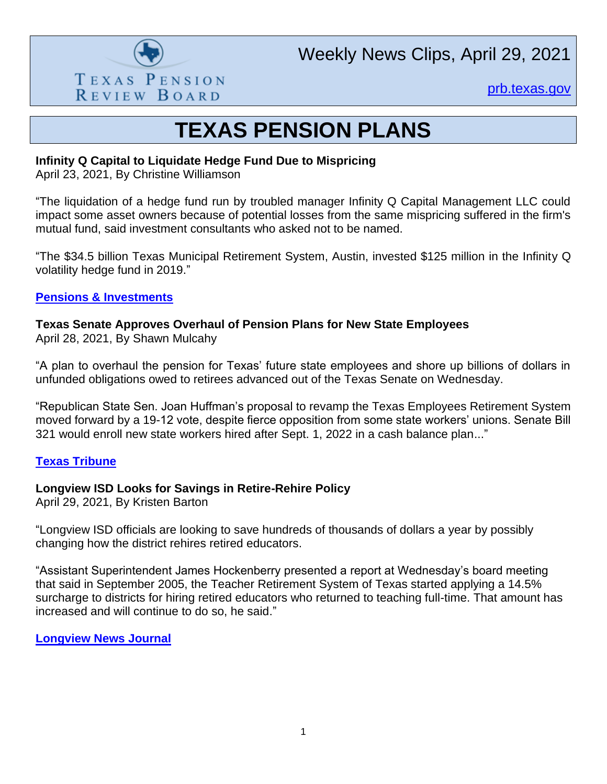

Weekly News Clips, April 29, 2021

[prb.texas.gov](http://www.prb.texas.gov/)

## **TEXAS PENSION PLANS**

#### **Infinity Q Capital to Liquidate Hedge Fund Due to Mispricing**

April 23, 2021, By Christine Williamson

"The liquidation of a hedge fund run by troubled manager Infinity Q Capital Management LLC could impact some asset owners because of potential losses from the same mispricing suffered in the firm's mutual fund, said investment consultants who asked not to be named.

"The \$34.5 billion Texas Municipal Retirement System, Austin, invested \$125 million in the Infinity Q volatility hedge fund in 2019."

#### **[Pensions & Investments](https://www.pionline.com/hedge-funds/infinity-q-capital-liquidate-hedge-fund-due-mispricing)**

## **Texas Senate Approves Overhaul of Pension Plans for New State Employees**

April 28, 2021, By Shawn Mulcahy

"A plan to overhaul the pension for Texas' future state employees and shore up billions of dollars in unfunded obligations owed to retirees advanced out of the Texas Senate on Wednesday.

"Republican State Sen. Joan Huffman's proposal to revamp the Texas Employees Retirement System moved forward by a 19-12 vote, despite fierce opposition from some state workers' unions. Senate Bill 321 would enroll new state workers hired after Sept. 1, 2022 in a cash balance plan..."

#### **[Texas Tribune](https://www.texastribune.org/2021/04/28/texas-pension-ers-overhaul/)**

## **Longview ISD Looks for Savings in Retire-Rehire Policy**

April 29, 2021, By Kristen Barton

"Longview ISD officials are looking to save hundreds of thousands of dollars a year by possibly changing how the district rehires retired educators.

"Assistant Superintendent James Hockenberry presented a report at Wednesday's board meeting that said in September 2005, the Teacher Retirement System of Texas started applying a 14.5% surcharge to districts for hiring retired educators who returned to teaching full-time. That amount has increased and will continue to do so, he said."

#### **[Longview News Journal](https://www.news-journal.com/news/education/longview-isd-looks-for-savings-in-retire-rehire-policy/article_2101f27c-a856-11eb-9143-73e73e137f72.html)**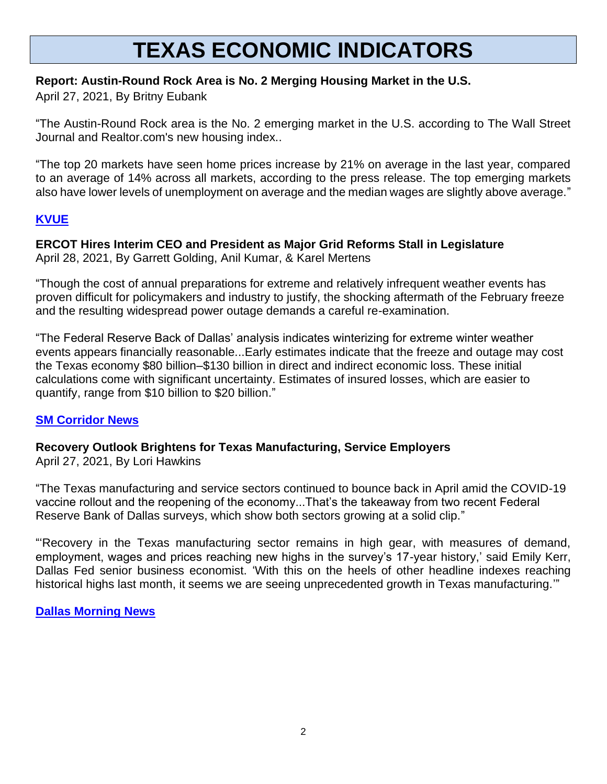# **TEXAS ECONOMIC INDICATORS**

### **Report: Austin-Round Rock Area is No. 2 Merging Housing Market in the U.S.**

April 27, 2021, By Britny Eubank

"The Austin-Round Rock area is the No. 2 emerging market in the U.S. according to The Wall Street Journal and Realtor.com's new housing index..

"The top 20 markets have seen home prices increase by 21% on average in the last year, compared to an average of 14% across all markets, according to the press release. The top emerging markets also have lower levels of unemployment on average and the median wages are slightly above average."

## **[KVUE](https://www.kvue.com/article/money/economy/boomtown-2040/austin-no-2-emerging-housing-market-wsj-realtor/269-767fdc12-7289-483c-9fc5-ffcec3a4f67e)**

#### **ERCOT Hires Interim CEO and President as Major Grid Reforms Stall in Legislature** April 28, 2021, By Garrett Golding, Anil Kumar, & Karel Mertens

"Though the cost of annual preparations for extreme and relatively infrequent weather events has proven difficult for policymakers and industry to justify, the shocking aftermath of the February freeze and the resulting widespread power outage demands a careful re-examination.

"The Federal Reserve Back of Dallas' analysis indicates winterizing for extreme winter weather events appears financially reasonable...Early estimates indicate that the freeze and outage may cost the Texas economy \$80 billion–\$130 billion in direct and indirect economic loss. These initial calculations come with significant uncertainty. Estimates of insured losses, which are easier to quantify, range from \$10 billion to \$20 billion."

## **[SM Corridor News](https://smcorridornews.com/cost-of-texas-2021-deep-freeze-justifies-weatherization/)**

#### **Recovery Outlook Brightens for Texas Manufacturing, Service Employers** April 27, 2021, By Lori Hawkins

"The Texas manufacturing and service sectors continued to bounce back in April amid the COVID-19 vaccine rollout and the reopening of the economy...That's the takeaway from two recent Federal Reserve Bank of Dallas surveys, which show both sectors growing at a solid clip."

"'Recovery in the Texas manufacturing sector remains in high gear, with measures of demand, employment, wages and prices reaching new highs in the survey's 17-year history,' said Emily Kerr, Dallas Fed senior business economist. 'With this on the heels of other headline indexes reaching historical highs last month, it seems we are seeing unprecedented growth in Texas manufacturing.'"

## **[Dallas Morning News](https://webcache.googleusercontent.com/search?q=cache:03AYv2TAxswJ:https://www.dallasnews.com/business/economy/2021/04/27/recovery-outlook-brightens-for-texas-manufacturing-service-employers/+&cd=1&hl=en&ct=clnk&gl=us)**